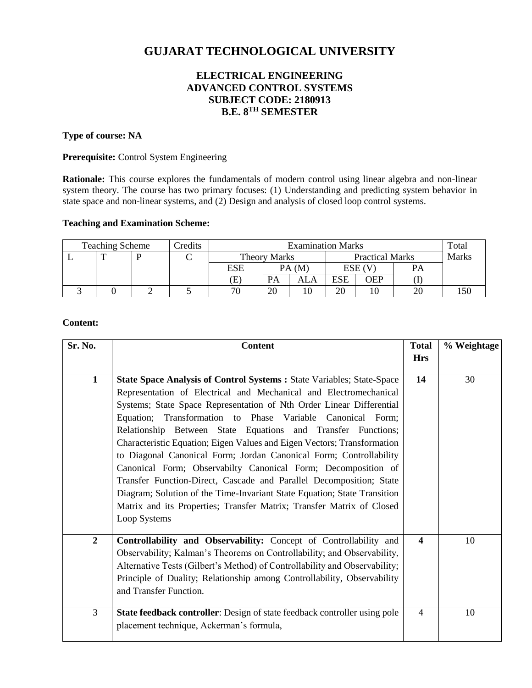# **GUJARAT TECHNOLOGICAL UNIVERSITY**

# **ELECTRICAL ENGINEERING ADVANCED CONTROL SYSTEMS SUBJECT CODE: 2180913 B.E. 8 TH SEMESTER**

# **Type of course: NA**

### **Prerequisite:** Control System Engineering

**Rationale:** This course explores the fundamentals of modern control using linear algebra and non-linear system theory. The course has two primary focuses: (1) Understanding and predicting system behavior in state space and non-linear systems, and (2) Design and analysis of closed loop control systems.

#### **Teaching and Examination Scheme:**

| <b>Teaching Scheme</b> |   |  | Credits | <b>Examination Marks</b>   |           |                        |            |            | Total        |  |
|------------------------|---|--|---------|----------------------------|-----------|------------------------|------------|------------|--------------|--|
|                        | ᡣ |  |         | Theory Marks               |           | <b>Practical Marks</b> |            |            | <b>Marks</b> |  |
|                        |   |  |         | ESE                        |           | PA(M)                  |            | ESE (V     | PA           |  |
|                        |   |  |         | $\left( \mathrm{E}\right)$ | <b>PA</b> | ALA                    | <b>ESE</b> | <b>OEP</b> |              |  |
|                        |   |  |         | 70                         | 20        | 10                     | 20         |            | 20           |  |

### **Content:**

| Sr. No.        | <b>Content</b>                                                                                                                                                                                                                                                                                                                                                                                                                                                                                                                                                                                                                                                                                                                                                                                                  | <b>Total</b>     | % Weightage |
|----------------|-----------------------------------------------------------------------------------------------------------------------------------------------------------------------------------------------------------------------------------------------------------------------------------------------------------------------------------------------------------------------------------------------------------------------------------------------------------------------------------------------------------------------------------------------------------------------------------------------------------------------------------------------------------------------------------------------------------------------------------------------------------------------------------------------------------------|------------------|-------------|
|                |                                                                                                                                                                                                                                                                                                                                                                                                                                                                                                                                                                                                                                                                                                                                                                                                                 | <b>Hrs</b>       |             |
| $\mathbf{1}$   | State Space Analysis of Control Systems : State Variables; State-Space<br>Representation of Electrical and Mechanical and Electromechanical<br>Systems; State Space Representation of Nth Order Linear Differential<br>Equation; Transformation to Phase Variable Canonical Form;<br>Relationship Between State Equations and Transfer Functions;<br>Characteristic Equation; Eigen Values and Eigen Vectors; Transformation<br>to Diagonal Canonical Form; Jordan Canonical Form; Controllability<br>Canonical Form; Observabilty Canonical Form; Decomposition of<br>Transfer Function-Direct, Cascade and Parallel Decomposition; State<br>Diagram; Solution of the Time-Invariant State Equation; State Transition<br>Matrix and its Properties; Transfer Matrix; Transfer Matrix of Closed<br>Loop Systems | 14               | 30          |
| $\overline{2}$ | Controllability and Observability: Concept of Controllability and<br>Observability; Kalman's Theorems on Controllability; and Observability,<br>Alternative Tests (Gilbert's Method) of Controllability and Observability;<br>Principle of Duality; Relationship among Controllability, Observability<br>and Transfer Function.                                                                                                                                                                                                                                                                                                                                                                                                                                                                                 | $\boldsymbol{4}$ | 10          |
| $\overline{3}$ | State feedback controller: Design of state feedback controller using pole<br>placement technique, Ackerman's formula,                                                                                                                                                                                                                                                                                                                                                                                                                                                                                                                                                                                                                                                                                           | $\overline{4}$   | 10          |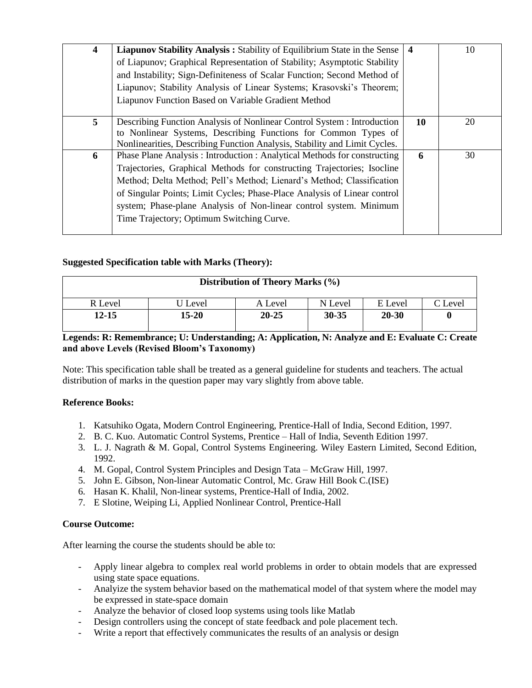| 4              | Liapunov Stability Analysis: Stability of Equilibrium State in the Sense<br>of Liapunov; Graphical Representation of Stability; Asymptotic Stability<br>and Instability; Sign-Definiteness of Scalar Function; Second Method of<br>Liapunov; Stability Analysis of Linear Systems; Krasovski's Theorem;<br>Liapunov Function Based on Variable Gradient Method                                                                                                                                          | $\boldsymbol{4}$ | 10 |
|----------------|---------------------------------------------------------------------------------------------------------------------------------------------------------------------------------------------------------------------------------------------------------------------------------------------------------------------------------------------------------------------------------------------------------------------------------------------------------------------------------------------------------|------------------|----|
| 5 <sup>1</sup> | Describing Function Analysis of Nonlinear Control System : Introduction<br>to Nonlinear Systems, Describing Functions for Common Types of                                                                                                                                                                                                                                                                                                                                                               | 10               | 20 |
| 6              | Nonlinearities, Describing Function Analysis, Stability and Limit Cycles.<br>Phase Plane Analysis: Introduction: Analytical Methods for constructing<br>Trajectories, Graphical Methods for constructing Trajectories; Isocline<br>Method; Delta Method; Pell's Method; Lienard's Method; Classification<br>of Singular Points; Limit Cycles; Phase-Place Analysis of Linear control<br>system; Phase-plane Analysis of Non-linear control system. Minimum<br>Time Trajectory; Optimum Switching Curve. | 6                | 30 |

# **Suggested Specification table with Marks (Theory):**

| Distribution of Theory Marks (%) |       |           |           |           |         |  |  |  |
|----------------------------------|-------|-----------|-----------|-----------|---------|--|--|--|
| R Level                          | Level | A Level   | N Level   | E Level   | C Level |  |  |  |
| 12-15                            | 15-20 | $20 - 25$ | $30 - 35$ | $20 - 30$ |         |  |  |  |

# **Legends: R: Remembrance; U: Understanding; A: Application, N: Analyze and E: Evaluate C: Create and above Levels (Revised Bloom's Taxonomy)**

Note: This specification table shall be treated as a general guideline for students and teachers. The actual distribution of marks in the question paper may vary slightly from above table.

# **Reference Books:**

- 1. Katsuhiko Ogata, Modern Control Engineering, Prentice-Hall of India, Second Edition, 1997.
- 2. B. C. Kuo. Automatic Control Systems, Prentice Hall of India, Seventh Edition 1997.
- 3. L. J. Nagrath & M. Gopal, Control Systems Engineering. Wiley Eastern Limited, Second Edition, 1992.
- 4. M. Gopal, Control System Principles and Design Tata McGraw Hill, 1997.
- 5. John E. Gibson, Non-linear Automatic Control, Mc. Graw Hill Book C.(ISE)
- 6. Hasan K. Khalil, Non-linear systems, Prentice-Hall of India, 2002.
- 7. E Slotine, Weiping Li, Applied Nonlinear Control, Prentice-Hall

# **Course Outcome:**

After learning the course the students should be able to:

- Apply linear algebra to complex real world problems in order to obtain models that are expressed using state space equations.
- Analyize the system behavior based on the mathematical model of that system where the model may be expressed in state-space domain
- Analyze the behavior of closed loop systems using tools like Matlab
- Design controllers using the concept of state feedback and pole placement tech.
- Write a report that effectively communicates the results of an analysis or design